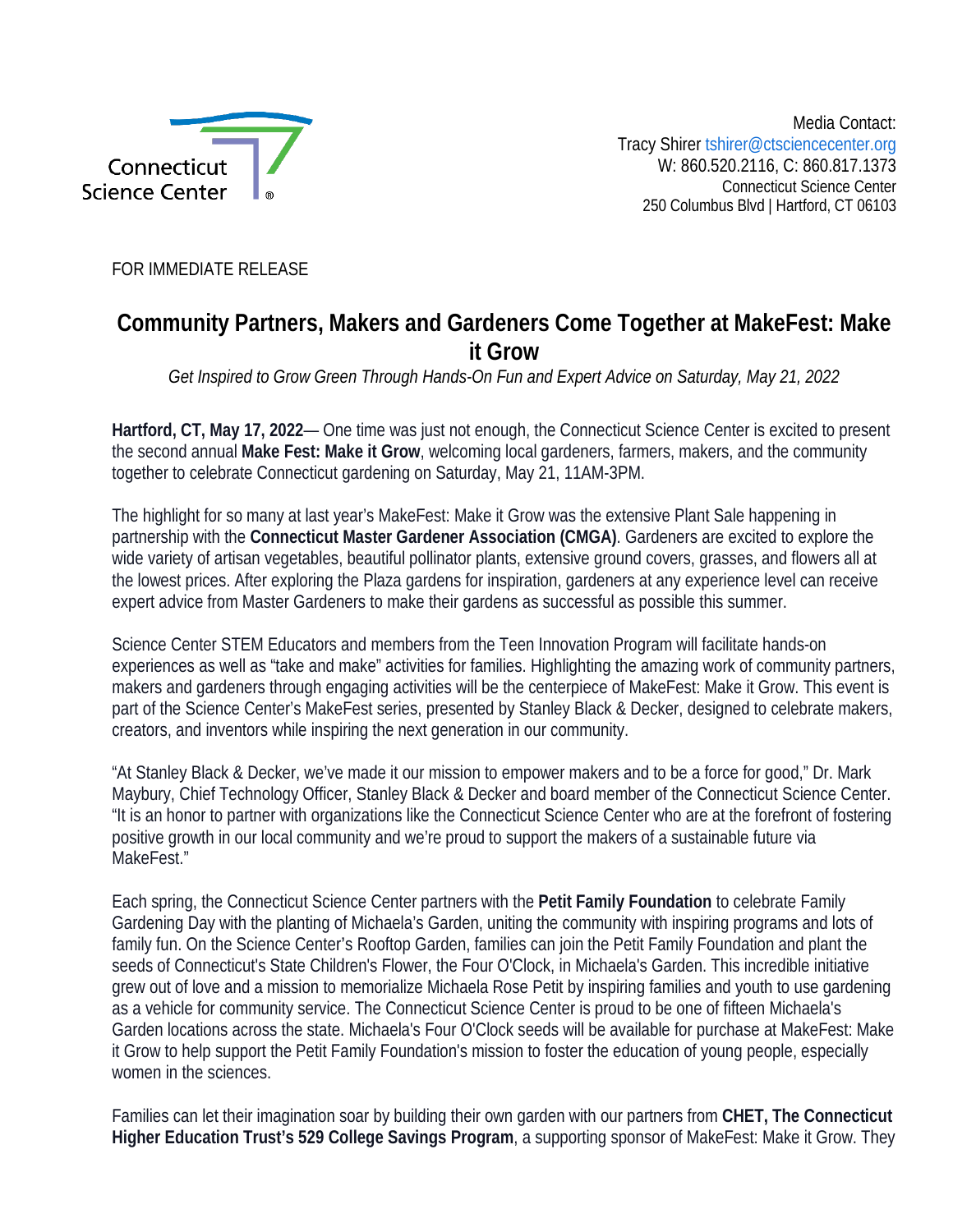

Media Contact: Tracy Shirer tshirer@ctsciencecenter.org W: 860.520.2116, C: 860.817.1373 Connecticut Science Center 250 Columbus Blvd | Hartford, CT 06103

FOR IMMEDIATE RELEASE

## **Community Partners, Makers and Gardeners Come Together at MakeFest: Make it Grow**

*Get Inspired to Grow Green Through Hands-On Fun and Expert Advice on Saturday, May 21, 2022*

**Hartford, CT, May 17, 2022**— One time was just not enough, the Connecticut Science Center is excited to present the second annual **Make Fest: Make it Grow**, welcoming local gardeners, farmers, makers, and the community together to celebrate Connecticut gardening on Saturday, May 21, 11AM-3PM.

The highlight for so many at last year's MakeFest: Make it Grow was the extensive Plant Sale happening in partnership with the **Connecticut Master Gardener Association (CMGA)**. Gardeners are excited to explore the wide variety of artisan vegetables, beautiful pollinator plants, extensive ground covers, grasses, and flowers all at the lowest prices. After exploring the Plaza gardens for inspiration, gardeners at any experience level can receive expert advice from Master Gardeners to make their gardens as successful as possible this summer.

Science Center STEM Educators and members from the Teen Innovation Program will facilitate hands-on experiences as well as "take and make" activities for families. Highlighting the amazing work of community partners, makers and gardeners through engaging activities will be the centerpiece of MakeFest: Make it Grow. This event is part of the Science Center's MakeFest series, presented by Stanley Black & Decker, designed to celebrate makers, creators, and inventors while inspiring the next generation in our community.

"At Stanley Black & Decker, we've made it our mission to empower makers and to be a force for good," Dr. Mark Maybury, Chief Technology Officer, Stanley Black & Decker and board member of the Connecticut Science Center. "It is an honor to partner with organizations like the Connecticut Science Center who are at the forefront of fostering positive growth in our local community and we're proud to support the makers of a sustainable future via MakeFest."

Each spring, the Connecticut Science Center partners with the **Petit Family Foundation** to celebrate Family Gardening Day with the planting of Michaela's Garden, uniting the community with inspiring programs and lots of family fun. On the Science Center's Rooftop Garden, families can join the Petit Family Foundation and plant the seeds of Connecticut's State Children's Flower, the Four O'Clock, in Michaela's Garden. This incredible initiative grew out of love and a mission to memorialize Michaela Rose Petit by inspiring families and youth to use gardening as a vehicle for community service. The Connecticut Science Center is proud to be one of fifteen Michaela's Garden locations across the state. Michaela's Four O'Clock seeds will be available for purchase at MakeFest: Make it Grow to help support the Petit Family Foundation's mission to foster the education of young people, especially women in the sciences.

Families can let their imagination soar by building their own garden with our partners from **CHET, The Connecticut Higher Education Trust's 529 College Savings Program**, a supporting sponsor of MakeFest: Make it Grow. They